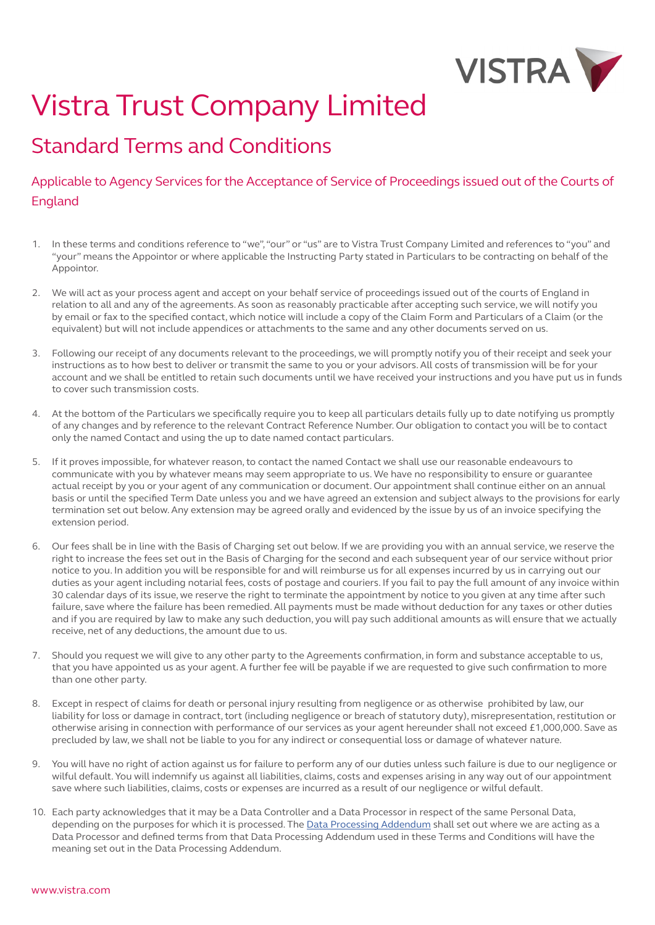

# Vistra Trust Company Limited

## Standard Terms and Conditions

### Applicable to Agency Services for the Acceptance of Service of Proceedings issued out of the Courts of England

- 1. In these terms and conditions reference to "we", "our" or "us" are to Vistra Trust Company Limited and references to "you" and "your" means the Appointor or where applicable the Instructing Party stated in Particulars to be contracting on behalf of the Appointor.
- 2. We will act as your process agent and accept on your behalf service of proceedings issued out of the courts of England in relation to all and any of the agreements. As soon as reasonably practicable after accepting such service, we will notify you by email or fax to the specified contact, which notice will include a copy of the Claim Form and Particulars of a Claim (or the equivalent) but will not include appendices or attachments to the same and any other documents served on us.
- 3. Following our receipt of any documents relevant to the proceedings, we will promptly notify you of their receipt and seek your instructions as to how best to deliver or transmit the same to you or your advisors. All costs of transmission will be for your account and we shall be entitled to retain such documents until we have received your instructions and you have put us in funds to cover such transmission costs.
- 4. At the bottom of the Particulars we specifically require you to keep all particulars details fully up to date notifying us promptly of any changes and by reference to the relevant Contract Reference Number. Our obligation to contact you will be to contact only the named Contact and using the up to date named contact particulars.
- 5. If it proves impossible, for whatever reason, to contact the named Contact we shall use our reasonable endeavours to communicate with you by whatever means may seem appropriate to us. We have no responsibility to ensure or guarantee actual receipt by you or your agent of any communication or document. Our appointment shall continue either on an annual basis or until the specified Term Date unless you and we have agreed an extension and subject always to the provisions for early termination set out below. Any extension may be agreed orally and evidenced by the issue by us of an invoice specifying the extension period.
- 6. Our fees shall be in line with the Basis of Charging set out below. If we are providing you with an annual service, we reserve the right to increase the fees set out in the Basis of Charging for the second and each subsequent year of our service without prior notice to you. In addition you will be responsible for and will reimburse us for all expenses incurred by us in carrying out our duties as your agent including notarial fees, costs of postage and couriers. If you fail to pay the full amount of any invoice within 30 calendar days of its issue, we reserve the right to terminate the appointment by notice to you given at any time after such failure, save where the failure has been remedied. All payments must be made without deduction for any taxes or other duties and if you are required by law to make any such deduction, you will pay such additional amounts as will ensure that we actually receive, net of any deductions, the amount due to us.
- 7. Should you request we will give to any other party to the Agreements confirmation, in form and substance acceptable to us, that you have appointed us as your agent. A further fee will be payable if we are requested to give such confirmation to more than one other party.
- 8. Except in respect of claims for death or personal injury resulting from negligence or as otherwise prohibited by law, our liability for loss or damage in contract, tort (including negligence or breach of statutory duty), misrepresentation, restitution or otherwise arising in connection with performance of our services as your agent hereunder shall not exceed £1,000,000. Save as precluded by law, we shall not be liable to you for any indirect or consequential loss or damage of whatever nature.
- 9. You will have no right of action against us for failure to perform any of our duties unless such failure is due to our negligence or wilful default. You will indemnify us against all liabilities, claims, costs and expenses arising in any way out of our appointment save where such liabilities, claims, costs or expenses are incurred as a result of our negligence or wilful default.
- 10. Each party acknowledges that it may be a Data Controller and a Data Processor in respect of the same Personal Data, depending on the purposes for which it is processed. The [Data Processing Addendum](https://businessportal.vistra.com/documents/793163/0/Vistra+Data+Processing+Addendum/3b9a9eb0-ad76-6313-51e0-9e3fa7b702eb) shall set out where we are acting as a Data Processor and defined terms from that Data Processing Addendum used in these Terms and Conditions will have the meaning set out in the Data Processing Addendum.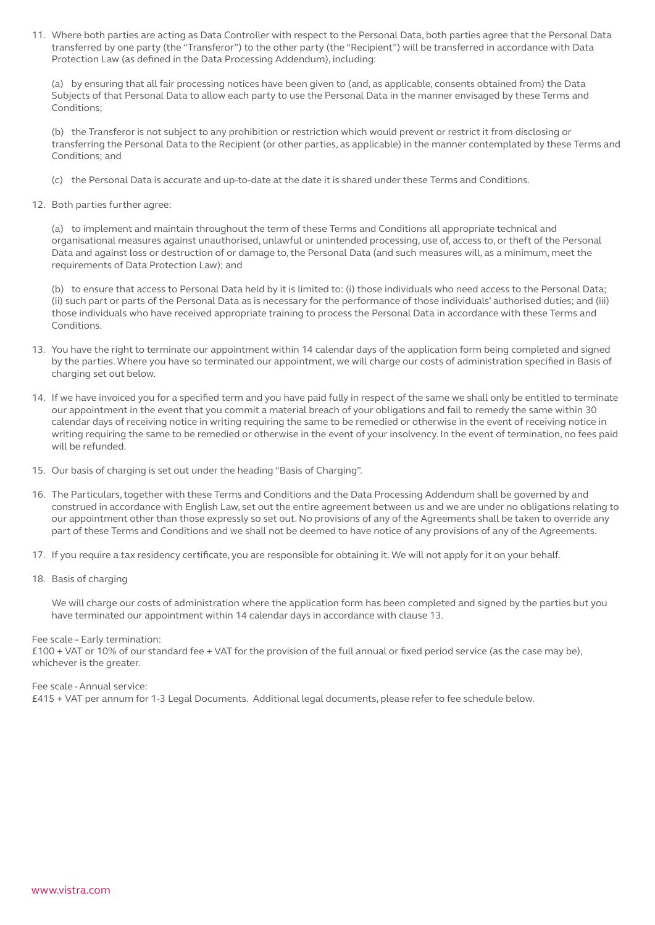11. Where both parties are acting as Data Controller with respect to the Personal Data, both parties agree that the Personal Data transferred by one party (the "Transferor") to the other party (the "Recipient") will be transferred in accordance with Data Protection Law (as defined in the Data Processing Addendum), including:

(a) by ensuring that all fair processing notices have been given to (and, as applicable, consents obtained from) the Data Subjects of that Personal Data to allow each party to use the Personal Data in the manner envisaged by these Terms and Conditions;

(b) the Transferor is not subject to any prohibition or restriction which would prevent or restrict it from disclosing or transferring the Personal Data to the Recipient (or other parties, as applicable) in the manner contemplated by these Terms and Conditions; and

- (c) the Personal Data is accurate and up-to-date at the date it is shared under these Terms and Conditions.
- 12. Both parties further agree:

(a) to implement and maintain throughout the term of these Terms and Conditions all appropriate technical and organisational measures against unauthorised, unlawful or unintended processing, use of, access to, or theft of the Personal Data and against loss or destruction of or damage to, the Personal Data (and such measures will, as a minimum, meet the requirements of Data Protection Law); and

(b) to ensure that access to Personal Data held by it is limited to: (i) those individuals who need access to the Personal Data; (ii) such part or parts of the Personal Data as is necessary for the performance of those individuals' authorised duties; and (iii) those individuals who have received appropriate training to process the Personal Data in accordance with these Terms and Conditions.

- 13. You have the right to terminate our appointment within 14 calendar days of the application form being completed and signed by the parties. Where you have so terminated our appointment, we will charge our costs of administration specified in Basis of charging set out below.
- 14. If we have invoiced you for a specified term and you have paid fully in respect of the same we shall only be entitled to terminate our appointment in the event that you commit a material breach of your obligations and fail to remedy the same within 30 calendar days of receiving notice in writing requiring the same to be remedied or otherwise in the event of receiving notice in writing requiring the same to be remedied or otherwise in the event of your insolvency. In the event of termination, no fees paid will be refunded.
- 15. Our basis of charging is set out under the heading "Basis of Charging".
- 16. The Particulars, together with these Terms and Conditions and the Data Processing Addendum shall be governed by and construed in accordance with English Law, set out the entire agreement between us and we are under no obligations relating to our appointment other than those expressly so set out. No provisions of any of the Agreements shall be taken to override any part of these Terms and Conditions and we shall not be deemed to have notice of any provisions of any of the Agreements.
- 17. If you require a tax residency certificate, you are responsible for obtaining it. We will not apply for it on your behalf.
- 18. Basis of charging

We will charge our costs of administration where the application form has been completed and signed by the parties but you have terminated our appointment within 14 calendar days in accordance with clause 13.

#### Fee scale – Early termination:

£100 + VAT or 10% of our standard fee + VAT for the provision of the full annual or fixed period service (as the case may be), whichever is the greater.

#### Fee scale - Annual service:

£415 + VAT per annum for 1-3 Legal Documents. Additional legal documents, please refer to fee schedule below.